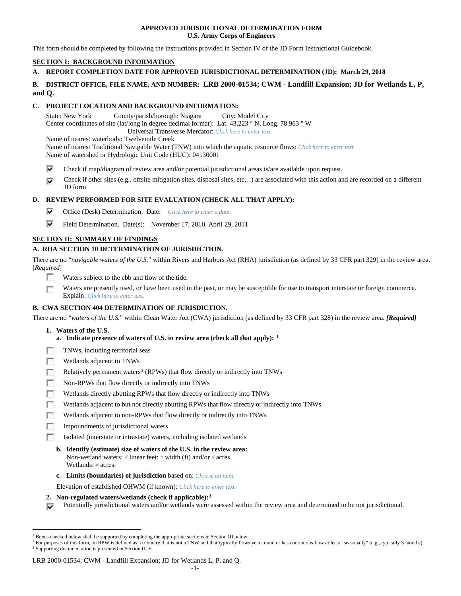### **APPROVED JURISDICTIONAL DETERMINATION FORM U.S. Army Corps of Engineers**

This form should be completed by following the instructions provided in Section IV of the JD Form Instructional Guidebook.

## **SECTION I: BACKGROUND INFORMATION**

## **A. REPORT COMPLETION DATE FOR APPROVED JURISDICTIONAL DETERMINATION (JD): March 29, 2018**

## **B. DISTRICT OFFICE, FILE NAME, AND NUMBER: LRB 2000-01534; CWM - Landfill Expansion; JD for Wetlands L, P, and Q.**

### **C. PROJECT LOCATION AND BACKGROUND INFORMATION:**

State: New York County/parish/borough: Niagara City: Model City Center coordinates of site (lat/long in degree decimal format): Lat. 43.223 ° N, Long. 78.963 ° W Universal Transverse Mercator: *Click here to enter text.* Name of nearest waterbody: Twelvemile Creek

Name of nearest Traditional Navigable Water (TNW) into which the aquatic resource flows: *Click here to enter text.*

Name of watershed or Hydrologic Unit Code (HUC): 04130001

⊽ Check if map/diagram of review area and/or potential jurisdictional areas is/are available upon request.

Check if other sites (e.g., offsite mitigation sites, disposal sites, etc…) are associated with this action and are recorded on a different ⊽ JD form

# **D. REVIEW PERFORMED FOR SITE EVALUATION (CHECK ALL THAT APPLY):**

- ⊽ Office (Desk) Determination. Date: *Click here to enter a date.*
- ⊽ Field Determination. Date(s): November 17, 2010, April 29, 2011

## **SECTION II: SUMMARY OF FINDINGS**

## **A. RHA SECTION 10 DETERMINATION OF JURISDICTION.**

There are no "*navigable waters of the U.S.*" within Rivers and Harbors Act (RHA) jurisdiction (as defined by 33 CFR part 329) in the review area. [*Required*]

- $\overline{\phantom{a}}$ Waters subject to the ebb and flow of the tide.
- Waters are presently used, or have been used in the past, or may be susceptible for use to transport interstate or foreign commerce. г Explain: *Click here to enter text.*

# **B. CWA SECTION 404 DETERMINATION OF JURISDICTION.**

There are no "*waters of the U.S.*" within Clean Water Act (CWA) jurisdiction (as defined by 33 CFR part 328) in the review area. *[Required]*

- **1. Waters of the U.S.**
	- **a. Indicate presence of waters of U.S. in review area (check all that apply): [1](#page-0-0)**
- E TNWs, including territorial seas
- г Wetlands adjacent to TNWs
- m Relatively permanent waters<sup>[2](#page-0-1)</sup> (RPWs) that flow directly or indirectly into TNWs
- Non-RPWs that flow directly or indirectly into TNWs г
- Wetlands directly abutting RPWs that flow directly or indirectly into TNWs
- п Wetlands adjacent to but not directly abutting RPWs that flow directly or indirectly into TNWs
- п Wetlands adjacent to non-RPWs that flow directly or indirectly into TNWs
- г Impoundments of jurisdictional waters
- г Isolated (interstate or intrastate) waters, including isolated wetlands
	- **b. Identify (estimate) size of waters of the U.S. in the review area:** Non-wetland waters: *#* linear feet: *#* width (ft) and/or *#* acres. Wetlands: *#* acres.
	- **c. Limits (boundaries) of jurisdiction** based on: *Choose an item.*

Elevation of established OHWM (if known): *Click here to enter text.*

- **2. Non-regulated waters/wetlands (check if applicable):[3](#page-0-2)**
- Potentially jurisdictional waters and/or wetlands were assessed within the review area and determined to be not jurisdictional. ⊽

<span id="page-0-0"></span> <sup>1</sup> Boxes checked below shall be supported by completing the appropriate sections in Section III below.

<span id="page-0-2"></span><span id="page-0-1"></span><sup>&</sup>lt;sup>2</sup> For purposes of this form, an RPW is defined as a tributary that is not a TNW and that typically flows year-round or has continuous flow at least "seasonally" (e.g., typically 3 months). <sup>3</sup> Supporting documentation is presented in Section III.F.

LRB 2000-01534; CWM - Landfill Expansion; JD for Wetlands L, P, and Q.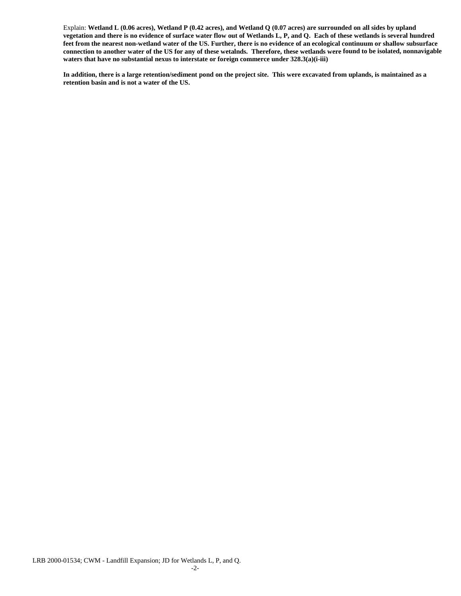Explain: **Wetland L (0.06 acres), Wetland P (0.42 acres), and Wetland Q (0.07 acres) are surrounded on all sides by upland vegetation and there is no evidence of surface water flow out of Wetlands L, P, and Q. Each of these wetlands is several hundred feet from the nearest non-wetland water of the US. Further, there is no evidence of an ecological continuum or shallow subsurface connection to another water of the US for any of these wetalnds. Therefore, these wetlands were found to be isolated, nonnavigable waters that have no substantial nexus to interstate or foreign commerce under 328.3(a)(i-iii)**

**In addition, there is a large retention/sediment pond on the project site. This were excavated from uplands, is maintained as a retention basin and is not a water of the US.**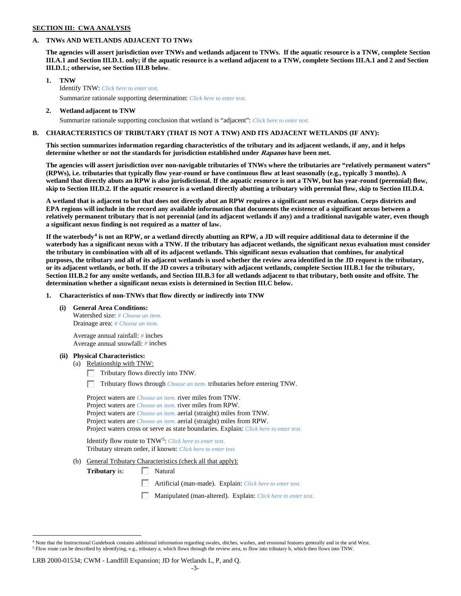### **SECTION III: CWA ANALYSIS**

### **A. TNWs AND WETLANDS ADJACENT TO TNWs**

**The agencies will assert jurisdiction over TNWs and wetlands adjacent to TNWs. If the aquatic resource is a TNW, complete Section III.A.1 and Section III.D.1. only; if the aquatic resource is a wetland adjacent to a TNW, complete Sections III.A.1 and 2 and Section III.D.1.; otherwise, see Section III.B below**.

- **1. TNW**  Identify TNW: *Click here to enter text.*
	- Summarize rationale supporting determination: *Click here to enter text.*
- **2. Wetland adjacent to TNW** Summarize rationale supporting conclusion that wetland is "adjacent": *Click here to enter text.*

### **B. CHARACTERISTICS OF TRIBUTARY (THAT IS NOT A TNW) AND ITS ADJACENT WETLANDS (IF ANY):**

**This section summarizes information regarding characteristics of the tributary and its adjacent wetlands, if any, and it helps determine whether or not the standards for jurisdiction established under Rapanos have been met.** 

**The agencies will assert jurisdiction over non-navigable tributaries of TNWs where the tributaries are "relatively permanent waters" (RPWs), i.e. tributaries that typically flow year-round or have continuous flow at least seasonally (e.g., typically 3 months). A wetland that directly abuts an RPW is also jurisdictional. If the aquatic resource is not a TNW, but has year-round (perennial) flow, skip to Section III.D.2. If the aquatic resource is a wetland directly abutting a tributary with perennial flow, skip to Section III.D.4.**

**A wetland that is adjacent to but that does not directly abut an RPW requires a significant nexus evaluation. Corps districts and EPA regions will include in the record any available information that documents the existence of a significant nexus between a relatively permanent tributary that is not perennial (and its adjacent wetlands if any) and a traditional navigable water, even though a significant nexus finding is not required as a matter of law.**

**If the waterbody[4](#page-2-0) is not an RPW, or a wetland directly abutting an RPW, a JD will require additional data to determine if the waterbody has a significant nexus with a TNW. If the tributary has adjacent wetlands, the significant nexus evaluation must consider the tributary in combination with all of its adjacent wetlands. This significant nexus evaluation that combines, for analytical purposes, the tributary and all of its adjacent wetlands is used whether the review area identified in the JD request is the tributary, or its adjacent wetlands, or both. If the JD covers a tributary with adjacent wetlands, complete Section III.B.1 for the tributary, Section III.B.2 for any onsite wetlands, and Section III.B.3 for all wetlands adjacent to that tributary, both onsite and offsite. The determination whether a significant nexus exists is determined in Section III.C below.**

**1. Characteristics of non-TNWs that flow directly or indirectly into TNW**

**(i) General Area Conditions:**

Watershed size: *# Choose an item.* Drainage area: *# Choose an item.*

Average annual rainfall: *#* inches Average annual snowfall: *#* inches

### **(ii) Physical Characteristics:**

- (a) Relationship with TNW:
	- Tributary flows directly into TNW.

n Tributary flows through *Choose an item.* tributaries before entering TNW.

Project waters are *Choose an item.* river miles from TNW. Project waters are *Choose an item.* river miles from RPW. Project waters are *Choose an item.* aerial (straight) miles from TNW. Project waters are *Choose an item.* aerial (straight) miles from RPW. Project waters cross or serve as state boundaries. Explain: *Click here to enter text.*

Identify flow route to TNW[5:](#page-2-1) *Click here to enter text.* Tributary stream order, if known: *Click here to enter text.*

(b) General Tributary Characteristics (check all that apply):

**Tributary** is: Natural

Artificial (man-made). Explain: *Click here to enter text.*

Manipulated (man-altered). Explain: *Click here to enter text.*

#### LRB 2000-01534; CWM - Landfill Expansion; JD for Wetlands L, P, and Q.

<span id="page-2-1"></span><span id="page-2-0"></span> $4$  Note that the Instructional Guidebook contains additional information regarding swales, ditches, washes, and erosional features generally and in the arid West. <sup>5</sup> Flow route can be described by identifying, e.g., tributary a, which flows through the review area, to flow into tributary b, which then flows into TNW.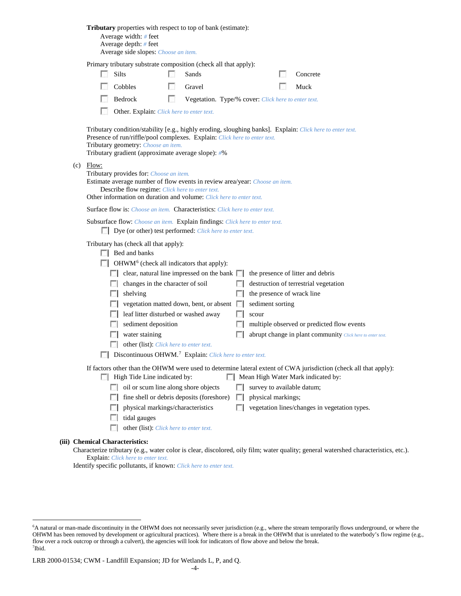| Tributary properties with respect to top of bank (estimate):<br>Average width: # feet<br>Average depth: # feet<br>Average side slopes: Choose an item.                                                                                                                                                                                         |                                                                     |                                                                                           |      |                                                                           |        |                  |  |                                                                                                                                     |  |  |
|------------------------------------------------------------------------------------------------------------------------------------------------------------------------------------------------------------------------------------------------------------------------------------------------------------------------------------------------|---------------------------------------------------------------------|-------------------------------------------------------------------------------------------|------|---------------------------------------------------------------------------|--------|------------------|--|-------------------------------------------------------------------------------------------------------------------------------------|--|--|
|                                                                                                                                                                                                                                                                                                                                                |                                                                     | Primary tributary substrate composition (check all that apply):                           |      |                                                                           |        |                  |  |                                                                                                                                     |  |  |
|                                                                                                                                                                                                                                                                                                                                                |                                                                     | <b>Silts</b>                                                                              |      | Sands                                                                     |        |                  |  | Concrete                                                                                                                            |  |  |
|                                                                                                                                                                                                                                                                                                                                                |                                                                     | Cobbles                                                                                   | L. S | Gravel                                                                    |        |                  |  | Muck                                                                                                                                |  |  |
|                                                                                                                                                                                                                                                                                                                                                |                                                                     | Bedrock                                                                                   | L.   | Vegetation. Type/% cover: Click here to enter text.                       |        |                  |  |                                                                                                                                     |  |  |
|                                                                                                                                                                                                                                                                                                                                                |                                                                     | Other. Explain: Click here to enter text.                                                 |      |                                                                           |        |                  |  |                                                                                                                                     |  |  |
|                                                                                                                                                                                                                                                                                                                                                |                                                                     | Tributary geometry: Choose an item.<br>Tributary gradient (approximate average slope): #% |      | Presence of run/riffle/pool complexes. Explain: Click here to enter text. |        |                  |  | Tributary condition/stability [e.g., highly eroding, sloughing banks]. Explain: Click here to enter text.                           |  |  |
| $(c)$ Flow:<br>Tributary provides for: Choose an item.<br>Estimate average number of flow events in review area/year: Choose an item.<br>Describe flow regime: Click here to enter text.<br>Other information on duration and volume: Click here to enter text.<br>Surface flow is: Choose an item. Characteristics: Click here to enter text. |                                                                     |                                                                                           |      |                                                                           |        |                  |  |                                                                                                                                     |  |  |
|                                                                                                                                                                                                                                                                                                                                                |                                                                     |                                                                                           |      |                                                                           |        |                  |  |                                                                                                                                     |  |  |
| Subsurface flow: Choose an item. Explain findings: Click here to enter text.<br>Dye (or other) test performed: Click here to enter text.<br>Tributary has (check all that apply):<br>$\Box$ Bed and banks<br>$\Box$ OHWM <sup>6</sup> (check all indicators that apply):                                                                       |                                                                     |                                                                                           |      |                                                                           |        |                  |  |                                                                                                                                     |  |  |
|                                                                                                                                                                                                                                                                                                                                                |                                                                     |                                                                                           |      |                                                                           |        |                  |  |                                                                                                                                     |  |  |
|                                                                                                                                                                                                                                                                                                                                                |                                                                     |                                                                                           |      |                                                                           |        |                  |  |                                                                                                                                     |  |  |
|                                                                                                                                                                                                                                                                                                                                                |                                                                     |                                                                                           |      | $\Box$ clear, natural line impressed on the bank $\Box$                   |        |                  |  | the presence of litter and debris                                                                                                   |  |  |
|                                                                                                                                                                                                                                                                                                                                                |                                                                     | changes in the character of soil                                                          |      |                                                                           |        |                  |  | destruction of terrestrial vegetation                                                                                               |  |  |
|                                                                                                                                                                                                                                                                                                                                                | <b>ISBN</b>                                                         | shelving                                                                                  |      |                                                                           |        |                  |  | the presence of wrack line                                                                                                          |  |  |
|                                                                                                                                                                                                                                                                                                                                                |                                                                     |                                                                                           |      | vegetation matted down, bent, or absent $\Box$                            |        | sediment sorting |  |                                                                                                                                     |  |  |
|                                                                                                                                                                                                                                                                                                                                                |                                                                     | leaf litter disturbed or washed away                                                      |      |                                                                           |        | scour            |  |                                                                                                                                     |  |  |
|                                                                                                                                                                                                                                                                                                                                                |                                                                     | sediment deposition                                                                       |      |                                                                           |        |                  |  | multiple observed or predicted flow events                                                                                          |  |  |
|                                                                                                                                                                                                                                                                                                                                                |                                                                     | water staining                                                                            |      |                                                                           |        |                  |  | abrupt change in plant community Click here to enter text.                                                                          |  |  |
|                                                                                                                                                                                                                                                                                                                                                |                                                                     | other (list): Click here to enter text.                                                   |      |                                                                           |        |                  |  |                                                                                                                                     |  |  |
|                                                                                                                                                                                                                                                                                                                                                | Discontinuous OHWM. <sup>7</sup> Explain: Click here to enter text. |                                                                                           |      |                                                                           |        |                  |  |                                                                                                                                     |  |  |
| If factors other than the OHWM were used to determine lateral extent of CWA jurisdiction (check all that apply):<br>Mean High Water Mark indicated by:<br>High Tide Line indicated by:                                                                                                                                                         |                                                                     |                                                                                           |      |                                                                           |        |                  |  |                                                                                                                                     |  |  |
| oil or scum line along shore objects<br>survey to available datum;                                                                                                                                                                                                                                                                             |                                                                     |                                                                                           |      |                                                                           |        |                  |  |                                                                                                                                     |  |  |
|                                                                                                                                                                                                                                                                                                                                                | FН                                                                  | fine shell or debris deposits (foreshore)<br>physical markings;<br>$\mathbb{R}$           |      |                                                                           |        |                  |  |                                                                                                                                     |  |  |
|                                                                                                                                                                                                                                                                                                                                                | $\mathbb{R}^n$                                                      | physical markings/characteristics                                                         |      |                                                                           | $\sim$ |                  |  | vegetation lines/changes in vegetation types.                                                                                       |  |  |
|                                                                                                                                                                                                                                                                                                                                                |                                                                     | tidal gauges                                                                              |      |                                                                           |        |                  |  |                                                                                                                                     |  |  |
|                                                                                                                                                                                                                                                                                                                                                |                                                                     | other (list): Click here to enter text.                                                   |      |                                                                           |        |                  |  |                                                                                                                                     |  |  |
|                                                                                                                                                                                                                                                                                                                                                | <b>Chemical Characteristics:</b>                                    |                                                                                           |      |                                                                           |        |                  |  | Characterize tributary (e.g., water color is clear, discolored, oily film; water quality; general watershed characteristics, etc.). |  |  |

Explain: *Click here to enter text.* Identify specific pollutants, if known: *Click here to enter text.*

**(iii)** 

<span id="page-3-0"></span> <sup>6</sup> <sup>6</sup>A natural or man-made discontinuity in the OHWM does not necessarily sever jurisdiction (e.g., where the stream temporarily flows underground, or where the OHWM has been removed by development or agricultural practices). Where there is a break in the OHWM that is unrelated to the waterbody's flow regime (e.g., flow over a rock outcrop or through a culvert), the agencies will look for indicators of flow above and below the break. 7 Ibid.

<span id="page-3-1"></span>LRB 2000-01534; CWM - Landfill Expansion; JD for Wetlands L, P, and Q.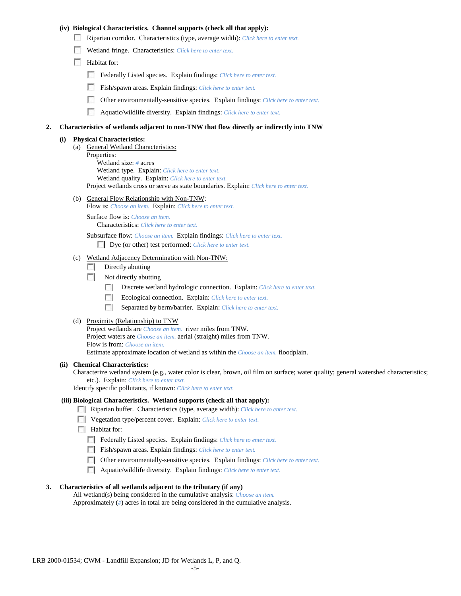### **(iv) Biological Characteristics. Channel supports (check all that apply):**

- Riparian corridor. Characteristics (type, average width): *Click here to enter text.*
- Wetland fringe. Characteristics: *Click here to enter text.*
- Habitat for:
	- Federally Listed species. Explain findings: *Click here to enter text.*
	- Fish/spawn areas. Explain findings: *Click here to enter text.*
	- Other environmentally-sensitive species. Explain findings: *Click here to enter text.* п.
	- n Aquatic/wildlife diversity. Explain findings: *Click here to enter text.*

#### **2. Characteristics of wetlands adjacent to non-TNW that flow directly or indirectly into TNW**

#### **(i) Physical Characteristics:**

- (a) General Wetland Characteristics:
	- Properties:

Wetland size: *#* acres Wetland type. Explain: *Click here to enter text.*

Wetland quality. Explain: *Click here to enter text.*

Project wetlands cross or serve as state boundaries. Explain: *Click here to enter text.*

(b) General Flow Relationship with Non-TNW: Flow is: *Choose an item.* Explain: *Click here to enter text.*

Surface flow is: *Choose an item.* Characteristics: *Click here to enter text.*

Subsurface flow: *Choose an item.* Explain findings: *Click here to enter text.*

Dye (or other) test performed: *Click here to enter text.*

#### (c) Wetland Adjacency Determination with Non-TNW:

- $\Box$  Directly abutting
- Not directly abutting
	- **The State** Discrete wetland hydrologic connection. Explain: *Click here to enter text.*
	- Ecological connection. Explain: *Click here to enter text.* **The Contract of the Contract of the Contract of the Contract of the Contract of the Contract of the Contract of the Contract of the Contract of the Contract of the Contract of the Contract of the Contract of the Contract**
	- $\sim$ Separated by berm/barrier. Explain: *Click here to enter text.*
- (d) Proximity (Relationship) to TNW

Project wetlands are *Choose an item.* river miles from TNW. Project waters are *Choose an item.* aerial (straight) miles from TNW. Flow is from: *Choose an item.* Estimate approximate location of wetland as within the *Choose an item.* floodplain.

#### **(ii) Chemical Characteristics:**

Characterize wetland system (e.g., water color is clear, brown, oil film on surface; water quality; general watershed characteristics; etc.). Explain: *Click here to enter text.*

Identify specific pollutants, if known: *Click here to enter text.*

### **(iii) Biological Characteristics. Wetland supports (check all that apply):**

- Riparian buffer. Characteristics (type, average width): *Click here to enter text.*
- Vegetation type/percent cover. Explain: *Click here to enter text.*
- $\Box$  Habitat for:
	- Federally Listed species. Explain findings: *Click here to enter text*.
	- Fish/spawn areas. Explain findings: *Click here to enter text*.
	- Other environmentally-sensitive species. Explain findings: *Click here to enter text.*
	- Aquatic/wildlife diversity. Explain findings: *Click here to enter text.*

#### **3. Characteristics of all wetlands adjacent to the tributary (if any)**

All wetland(s) being considered in the cumulative analysis: *Choose an item.* Approximately (*#*) acres in total are being considered in the cumulative analysis.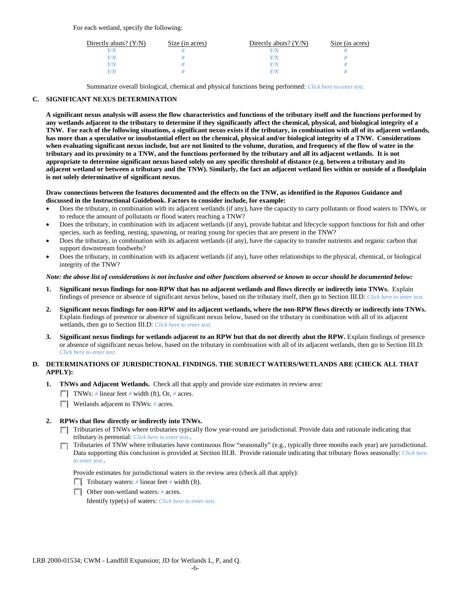For each wetland, specify the following:

| Directly abuts? $(Y/N)$ | Size (in acres) | Directly abuts? $(Y/N)$ | Size (in acres) |
|-------------------------|-----------------|-------------------------|-----------------|
|                         |                 |                         |                 |
| V/N                     |                 | Y/N                     |                 |
| V/N                     |                 | Y/N                     |                 |
|                         |                 | 77N                     |                 |

Summarize overall biological, chemical and physical functions being performed: *Click here to enter text.*

## **C. SIGNIFICANT NEXUS DETERMINATION**

**A significant nexus analysis will assess the flow characteristics and functions of the tributary itself and the functions performed by any wetlands adjacent to the tributary to determine if they significantly affect the chemical, physical, and biological integrity of a TNW. For each of the following situations, a significant nexus exists if the tributary, in combination with all of its adjacent wetlands, has more than a speculative or insubstantial effect on the chemical, physical and/or biological integrity of a TNW. Considerations when evaluating significant nexus include, but are not limited to the volume, duration, and frequency of the flow of water in the tributary and its proximity to a TNW, and the functions performed by the tributary and all its adjacent wetlands. It is not appropriate to determine significant nexus based solely on any specific threshold of distance (e.g. between a tributary and its adjacent wetland or between a tributary and the TNW). Similarly, the fact an adjacent wetland lies within or outside of a floodplain is not solely determinative of significant nexus.** 

### **Draw connections between the features documented and the effects on the TNW, as identified in the** *Rapanos* **Guidance and discussed in the Instructional Guidebook. Factors to consider include, for example:**

- Does the tributary, in combination with its adjacent wetlands (if any), have the capacity to carry pollutants or flood waters to TNWs, or to reduce the amount of pollutants or flood waters reaching a TNW?
- Does the tributary, in combination with its adjacent wetlands (if any), provide habitat and lifecycle support functions for fish and other species, such as feeding, nesting, spawning, or rearing young for species that are present in the TNW?
- Does the tributary, in combination with its adjacent wetlands (if any), have the capacity to transfer nutrients and organic carbon that support downstream foodwebs?
- Does the tributary, in combination with its adjacent wetlands (if any), have other relationships to the physical, chemical, or biological integrity of the TNW?

### *Note: the above list of considerations is not inclusive and other functions observed or known to occur should be documented below:*

- **1. Significant nexus findings for non-RPW that has no adjacent wetlands and flows directly or indirectly into TNWs.** Explain findings of presence or absence of significant nexus below, based on the tributary itself, then go to Section III.D: *Click here to enter text.*
- **2. Significant nexus findings for non-RPW and its adjacent wetlands, where the non-RPW flows directly or indirectly into TNWs.**  Explain findings of presence or absence of significant nexus below, based on the tributary in combination with all of its adjacent wetlands, then go to Section III.D: *Click here to enter text.*
- **3. Significant nexus findings for wetlands adjacent to an RPW but that do not directly abut the RPW.** Explain findings of presence or absence of significant nexus below, based on the tributary in combination with all of its adjacent wetlands, then go to Section III.D: *Click here to enter text.*

## **D. DETERMINATIONS OF JURISDICTIONAL FINDINGS. THE SUBJECT WATERS/WETLANDS ARE (CHECK ALL THAT APPLY):**

- **1. TNWs and Adjacent Wetlands.** Check all that apply and provide size estimates in review area:
	- TNWs: *#* linear feet *#* width (ft), Or, *#* acres.
	- **Wetlands adjacent to TNWs: # acres.**

## **2. RPWs that flow directly or indirectly into TNWs.**

- Tributaries of TNWs where tributaries typically flow year-round are jurisdictional. Provide data and rationale indicating that tributary is perennial: *Click here to enter text.*.
- Tributaries of TNW where tributaries have continuous flow "seasonally" (e.g., typically three months each year) are jurisdictional.  $\mathcal{L}$ Data supporting this conclusion is provided at Section III.B. Provide rationale indicating that tributary flows seasonally: *Click here to enter text.*.

Provide estimates for jurisdictional waters in the review area (check all that apply):

- Tributary waters: # linear feet # width (ft).
- Other non-wetland waters: *#* acres.

Identify type(s) of waters: *Click here to enter text.*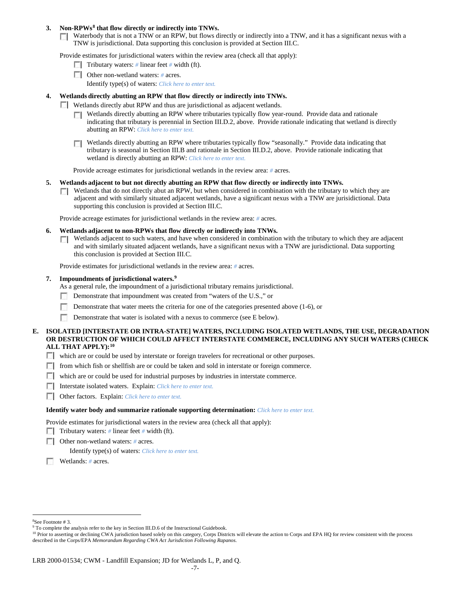### **3. Non-RPWs[8](#page-6-0) that flow directly or indirectly into TNWs.**

Waterbody that is not a TNW or an RPW, but flows directly or indirectly into a TNW, and it has a significant nexus with a TNW is jurisdictional. Data supporting this conclusion is provided at Section III.C.

Provide estimates for jurisdictional waters within the review area (check all that apply):

- **Tributary waters:** # linear feet # width (ft).
- Other non-wetland waters: # acres. Identify type(s) of waters: *Click here to enter text.*
- **4. Wetlands directly abutting an RPW that flow directly or indirectly into TNWs.**
	- **Wetlands directly abut RPW and thus are jurisdictional as adjacent wetlands.** 
		- $\Box$  Wetlands directly abutting an RPW where tributaries typically flow year-round. Provide data and rationale indicating that tributary is perennial in Section III.D.2, above. Provide rationale indicating that wetland is directly abutting an RPW: *Click here to enter text.*
		- Wetlands directly abutting an RPW where tributaries typically flow "seasonally." Provide data indicating that tributary is seasonal in Section III.B and rationale in Section III.D.2, above. Provide rationale indicating that wetland is directly abutting an RPW: *Click here to enter text.*

Provide acreage estimates for jurisdictional wetlands in the review area: *#* acres.

- **5. Wetlands adjacent to but not directly abutting an RPW that flow directly or indirectly into TNWs.**
	- $\Box$  Wetlands that do not directly abut an RPW, but when considered in combination with the tributary to which they are adjacent and with similarly situated adjacent wetlands, have a significant nexus with a TNW are jurisidictional. Data supporting this conclusion is provided at Section III.C.

Provide acreage estimates for jurisdictional wetlands in the review area: *#* acres.

- **6. Wetlands adjacent to non-RPWs that flow directly or indirectly into TNWs.** 
	- Wetlands adjacent to such waters, and have when considered in combination with the tributary to which they are adjacent Г. and with similarly situated adjacent wetlands, have a significant nexus with a TNW are jurisdictional. Data supporting this conclusion is provided at Section III.C.

Provide estimates for jurisdictional wetlands in the review area: *#* acres.

### **7. Impoundments of jurisdictional waters. [9](#page-6-1)**

As a general rule, the impoundment of a jurisdictional tributary remains jurisdictional.

- Demonstrate that impoundment was created from "waters of the U.S.," or
- Demonstrate that water meets the criteria for one of the categories presented above (1-6), or
- n Demonstrate that water is isolated with a nexus to commerce (see E below).
- **E. ISOLATED [INTERSTATE OR INTRA-STATE] WATERS, INCLUDING ISOLATED WETLANDS, THE USE, DEGRADATION OR DESTRUCTION OF WHICH COULD AFFECT INTERSTATE COMMERCE, INCLUDING ANY SUCH WATERS (CHECK ALL THAT APPLY):[10](#page-6-2)**
	- which are or could be used by interstate or foreign travelers for recreational or other purposes.
	- from which fish or shellfish are or could be taken and sold in interstate or foreign commerce.
	- which are or could be used for industrial purposes by industries in interstate commerce.
	- Interstate isolated waters.Explain: *Click here to enter text.*
	- Other factors.Explain: *Click here to enter text.*

#### **Identify water body and summarize rationale supporting determination:** *Click here to enter text.*

Provide estimates for jurisdictional waters in the review area (check all that apply):

- Tributary waters: # linear feet # width (ft).
- Other non-wetland waters: *#* acres.

Identify type(s) of waters: *Click here to enter text.*

Wetlands: *#* acres.

 $\frac{1}{8}$ 

<span id="page-6-1"></span><span id="page-6-0"></span><sup>&</sup>lt;sup>8</sup>See Footnote # 3.<br><sup>9</sup> To complete the analysis refer to the key in Section III.D.6 of the Instructional Guidebook.

<span id="page-6-2"></span><sup>&</sup>lt;sup>10</sup> Prior to asserting or declining CWA jurisdiction based solely on this category, Corps Districts will elevate the action to Corps and EPA HQ for review consistent with the process described in the Corps/EPA *Memorandum Regarding CWA Act Jurisdiction Following Rapanos.*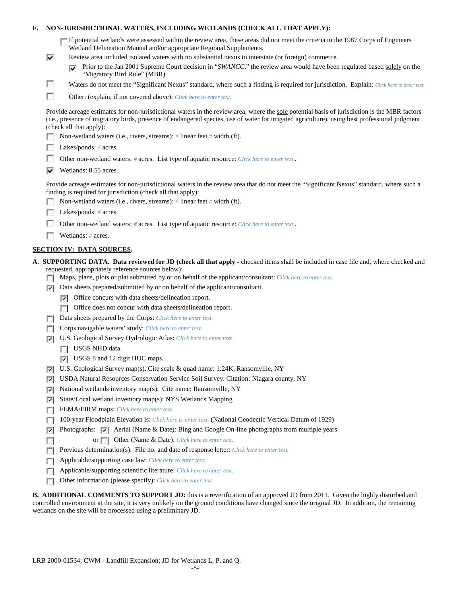| F.     NON-JURISDICTIONAL WATERS, INCLUDING WETLANDS (CHECK ALL THAT APPLY): |  |  |
|------------------------------------------------------------------------------|--|--|
|                                                                              |  |  |

| If potential wetlands were assessed within the review area, these areas did not meet the criteria in the 1987 Corps of Engineers |
|----------------------------------------------------------------------------------------------------------------------------------|
| Wetland Delineation Manual and/or appropriate Regional Supplements.                                                              |

- ⊽ Review area included isolated waters with no substantial nexus to interstate (or foreign) commerce.
	- **Prior to the Jan 2001 Supreme Court decision in "***SWANCC*," the review area would have been regulated based solely on the "Migratory Bird Rule" (MBR).
	- Waters do not meet the "Significant Nexus" standard, where such a finding is required for jurisdiction. Explain: Click here to enter text.
- F Other: (explain, if not covered above): *Click here to enter text.*

Provide acreage estimates for non-jurisdictional waters in the review area, where the sole potential basis of jurisdiction is the MBR factors (i.e., presence of migratory birds, presence of endangered species, use of water for irrigated agriculture), using best professional judgment (check all that apply):

Non-wetland waters (i.e., rivers, streams): *#* linear feet *#* width (ft).

|  |  |  | Lakes/ponds: $# \, \text{acres.}$ |
|--|--|--|-----------------------------------|
|--|--|--|-----------------------------------|

п

- **1999** Other non-wetland waters: *#* acres. List type of aquatic resource: *Click here to enter text.*.
- Wetlands: 0.55 acres.

Provide acreage estimates for non-jurisdictional waters in the review area that do not meet the "Significant Nexus" standard, where such a finding is required for jurisdiction (check all that apply):

- Non-wetland waters (i.e., rivers, streams): *#* linear feet *#* width (ft).
- Lakes/ponds: *#* acres.
- $\mathcal{L}$ Other non-wetland waters: *#* acres. List type of aquatic resource: *Click here to enter text.*.
- Wetlands: # acres.

### **SECTION IV: DATA SOURCES.**

- **A. SUPPORTING DATA. Data reviewed for JD (check all that apply -** checked items shall be included in case file and, where checked and requested, appropriately reference sources below):
	- Maps, plans, plots or plat submitted by or on behalf of the applicant/consultant: *Click here to enter text.*
	- $\nabla$  Data sheets prepared/submitted by or on behalf of the applicant/consultant.
		- Office concurs with data sheets/delineation report.
		- Office does not concur with data sheets/delineation report.
	- Data sheets prepared by the Corps: *Click here to enter text.*
	- **Corps navigable waters' study:** *Click here to enter text.*
	- U.S. Geological Survey Hydrologic Atlas: *Click here to enter text.*
		- **USGS NHD data.**

п

- USGS 8 and 12 digit HUC maps.
- U.S. Geological Survey map(s). Cite scale & quad name: 1:24K, Ransomville, NY
- USDA Natural Resources Conservation Service Soil Survey. Citation: Niagara county, NY
- National wetlands inventory map(s). Cite name: Ransomville, NY ⊽
- State/Local wetland inventory map(s): NYS Wetlands Mapping
- FEMA/FIRM maps: *Click here to enter text.*
- 100-year Floodplain Elevation is: *Click here to enter text.* (National Geodectic Vertical Datum of 1929)
- **Photographs:**  $\bullet$  Aerial (Name & Date): Bing and Google On-line photographs from multiple years
	- or **Other (Name & Date):** *Click here to enter text.*
- **Previous determination(s). File no. and date of response letter:** *Click here to enter text.*
- Applicable/supporting case law: *Click here to enter text.* п
- Applicable/supporting scientific literature: *Click here to enter text.*  $\overline{a}$
- Other information (please specify): *Click here to enter text.*  $\overline{a}$

**B. ADDITIONAL COMMENTS TO SUPPORT JD:** this is a reverification of an approved JD from 2011. Given the highly disturbed and controlled environment at the site, it is very unlikely on the ground conditions have changed since the original JD. In addition, the remaining wetlands on the site will be processed using a preliminary JD.